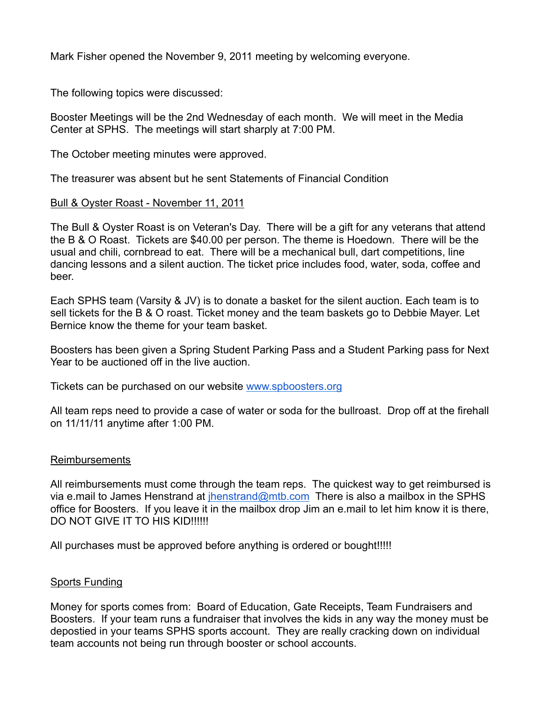Mark Fisher opened the November 9, 2011 meeting by welcoming everyone.

The following topics were discussed:

Booster Meetings will be the 2nd Wednesday of each month. We will meet in the Media Center at SPHS. The meetings will start sharply at 7:00 PM.

The October meeting minutes were approved.

The treasurer was absent but he sent Statements of Financial Condition

## Bull & Oyster Roast - November 11, 2011

The Bull & Oyster Roast is on Veteran's Day. There will be a gift for any veterans that attend the B & O Roast. Tickets are \$40.00 per person. The theme is Hoedown. There will be the usual and chili, cornbread to eat. There will be a mechanical bull, dart competitions, line dancing lessons and a silent auction. The ticket price includes food, water, soda, coffee and beer.

Each SPHS team (Varsity & JV) is to donate a basket for the silent auction. Each team is to sell tickets for the B & O roast. Ticket money and the team baskets go to Debbie Mayer. Let Bernice know the theme for your team basket.

Boosters has been given a Spring Student Parking Pass and a Student Parking pass for Next Year to be auctioned off in the live auction.

Tickets can be purchased on our website www.spboosters.org

All team reps need to provide a case of water or soda for the bullroast. Drop off at the firehall on 11/11/11 anytime after 1:00 PM.

## Reimbursements

All reimbursements must come through the team reps. The quickest way to get reimbursed is via e.mail to James Henstrand at  $j$ henstrand@mtb.com There is also a mailbox in the SPHS office for Boosters. If you leave it in the mailbox drop Jim an e.mail to let him know it is there, DO NOT GIVE IT TO HIS KID!!!!!!

All purchases must be approved before anything is ordered or bought!!!!!

## Sports Funding

Money for sports comes from: Board of Education, Gate Receipts, Team Fundraisers and Boosters. If your team runs a fundraiser that involves the kids in any way the money must be depostied in your teams SPHS sports account. They are really cracking down on individual team accounts not being run through booster or school accounts.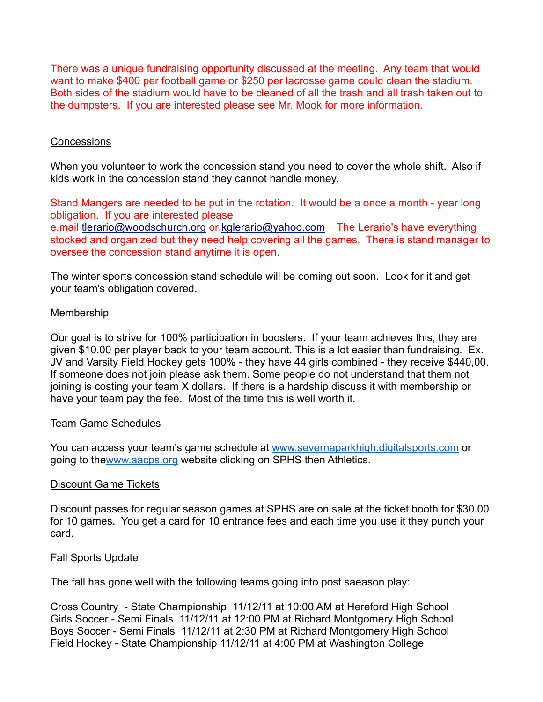There was a unique fundraising opportunity discussed at the meeting. Any team that would want to make \$400 per football game or \$250 per lacrosse game could clean the stadium. Both sides of the stadium would have to be cleaned of all the trash and all trash taken out to the dumpsters. If you are interested please see Mr. Mook for more information.

# **Concessions**

When you volunteer to work the concession stand you need to cover the whole shift. Also if kids work in the concession stand they cannot handle money.

Stand Mangers are needed to be put in the rotation. It would be a once a month - year long obligation. If you are interested please

e.mail tlerario@woodschurch.org or kglerario@yahoo.com The Lerario's have everything stocked and organized but they need help covering all the games. There is stand manager to oversee the concession stand anytime it is open.

The winter sports concession stand schedule will be coming out soon. Look for it and get your team's obligation covered.

## Membership

Our goal is to strive for 100% participation in boosters. If your team achieves this, they are given \$10.00 per player back to your team account. This is a lot easier than fundraising. Ex. JV and Varsity Field Hockey gets 100% - they have 44 girls combined - they receive \$440,00. If someone does not join please ask them. Some people do not understand that them not joining is costing your team X dollars. If there is a hardship discuss it with membership or have your team pay the fee. Most of the time this is well worth it.

## Team Game Schedules

You can access your team's game schedule at www.severnaparkhigh.digitalsports.com or going to thewww.aacps.org website clicking on SPHS then Athletics.

## Discount Game Tickets

Discount passes for regular season games at SPHS are on sale at the ticket booth for \$30.00 for 10 games. You get a card for 10 entrance fees and each time you use it they punch your card.

## Fall Sports Update

The fall has gone well with the following teams going into post saeason play:

Cross Country - State Championship 11/12/11 at 10:00 AM at Hereford High School Girls Soccer - Semi Finals 11/12/11 at 12:00 PM at Richard Montgomery High School Boys Soccer - Semi Finals 11/12/11 at 2:30 PM at Richard Montgomery High School Field Hockey - State Championship 11/12/11 at 4:00 PM at Washington College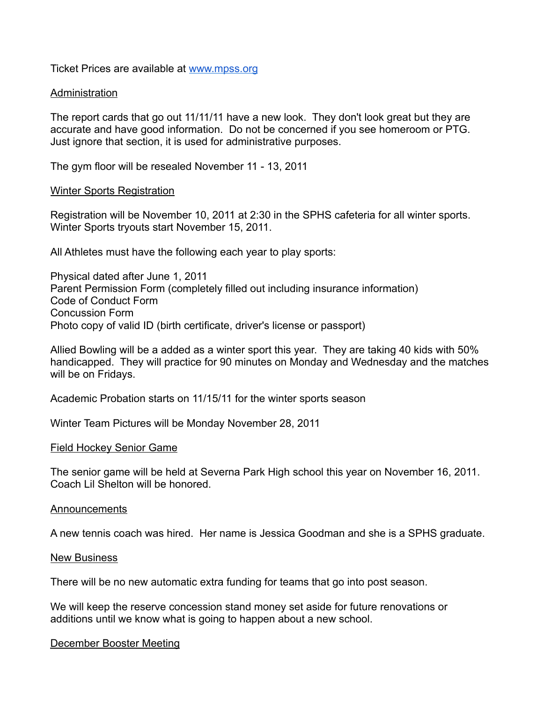Ticket Prices are available at www.mpss.org

#### Administration

The report cards that go out 11/11/11 have a new look. They don't look great but they are accurate and have good information. Do not be concerned if you see homeroom or PTG. Just ignore that section, it is used for administrative purposes.

The gym floor will be resealed November 11 - 13, 2011

#### Winter Sports Registration

Registration will be November 10, 2011 at 2:30 in the SPHS cafeteria for all winter sports. Winter Sports tryouts start November 15, 2011.

All Athletes must have the following each year to play sports:

Physical dated after June 1, 2011 Parent Permission Form (completely filled out including insurance information) Code of Conduct Form Concussion Form Photo copy of valid ID (birth certificate, driver's license or passport)

Allied Bowling will be a added as a winter sport this year. They are taking 40 kids with 50% handicapped. They will practice for 90 minutes on Monday and Wednesday and the matches will be on Fridays.

Academic Probation starts on 11/15/11 for the winter sports season

Winter Team Pictures will be Monday November 28, 2011

#### Field Hockey Senior Game

The senior game will be held at Severna Park High school this year on November 16, 2011. Coach Lil Shelton will be honored.

#### Announcements

A new tennis coach was hired. Her name is Jessica Goodman and she is a SPHS graduate.

#### New Business

There will be no new automatic extra funding for teams that go into post season.

We will keep the reserve concession stand money set aside for future renovations or additions until we know what is going to happen about a new school.

#### December Booster Meeting